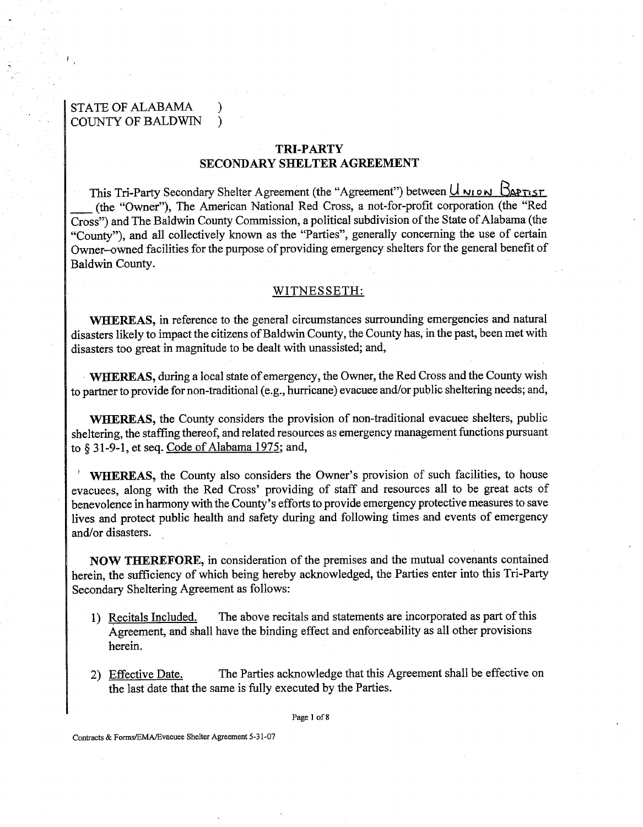# STATE OF ALABAMA ) COUNTY OF BALDWIN )

# TRI-PARTY SECONDARY SHELTER AGREEMENT

This Tri-Party Secondary Shelter Agreement (the "Agreement") between U **rrl** ow Bmn **sr SECONDARY SHELTER AGREEMENT**<br>This Tri-Party Secondary Shelter Agreement (the "Agreement") between  $\frac{U_{NIO}}{N}$   $\frac{D_{\text{APTIST}}}{N}$ <br>(the "Owner"), The American National Red Cross, a not-for-profit corporation (the "Red<br>ross Cross") and The Baldwin County Commission, a political subdivision of the State of Alabama (the "County"), and all collectively known as the "Parties", generally concerning the use of certain Dwner-owned facilities for the purpose of providing emergency shelters for the general benefit of Baldwin County.

### WITNESSETH:

WHEREAS, in reference to the general circumstances surrounding emergencies and natural disasters likely to impact the citizens of Baldwin County, the County has, in the past, been met with disasters too great in magnitude to be dealt with unassisted; and,

WHEREAS, during a local state of emergency, the Owner, the Red Cross and the County wish to partner to provide for non-traditional (e.g., hurricane) evacuee and/or public sheltering needs; and,

WHEREAS, the County considers the provision of non-traditional evacuee shelters, public sheltering, the staffing thereof, and related resources as emergency management functions pursuant to *5* **3** 1-9-1, et seq. Code of Alabama 1975; and,

WHEREAS, the County also considers the Owner's provision of such facilities, to house evacuees, along with the Red Cross' providing of staff and resources all to be great acts of benevolence in harmony with the County's efforts to provide emergency protective measures to save lives and protect public health and safety during and following times and events of emergency and/or disasters. .

NOW THEREFORE, in consideration of the premises and the mutual covenants contained herein, the sufficiency of which being hereby acknowledged, the Parties enter into this Tri-Party Secondary Sheltering Agreement as follows:

- 1) Recitals Included. The above recitals and statements are incorporated as part of this Agreement, and shall have the binding effect and enforceability as all other provisions herein.
- 2) Effective Date. The Parties acknowledge that this Agreement shall be effective on the last date that the same is fully executed by the Parties.

**Page** 1 of **8** 

Contracts & **Forms/EMA/Evacuee** Shelter Agreement **5-3** 1-07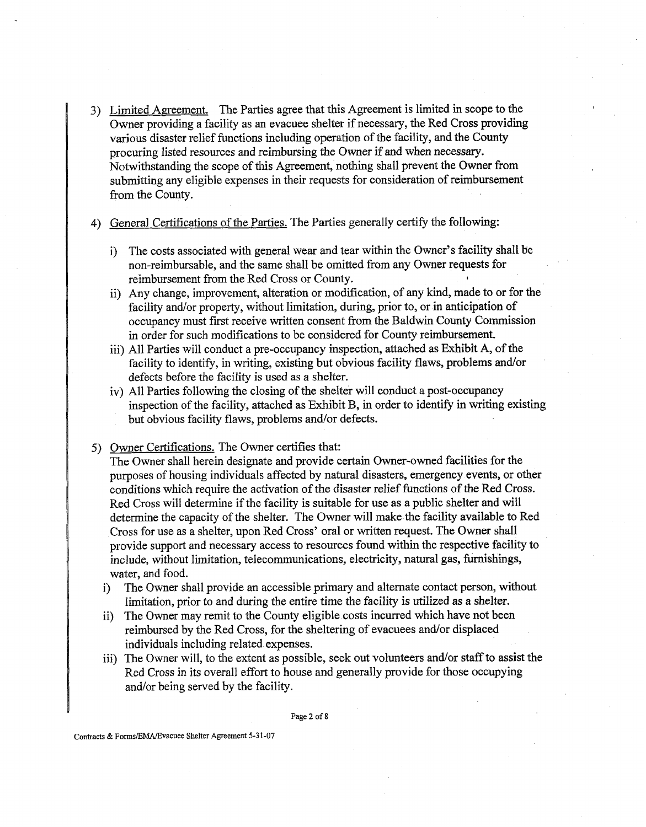3) Limited Agreement. The Parties agree that this Agreement is limited in scope to the Owner providing a facility as an evacuee shelter if necessary, the Red Cross providing various disaster relief functions including operation of the facility, and the County procuring listed resources and reimbursing the Owner if and when necessary. Notwithstanding the scope of this Agreement, nothing shall prevent the Owner from submitting any eligible expenses in their requests for consideration of reimbursement from the County.

4) General Certifications of the Parties. The Parties generally certify the following:

- i) The costs associated with general wear and tear within the Owner's facility shall be non-reimbursable, and the same shall be omitted from any Owner requests for reimbursement from the Red Cross or County. **<sup>I</sup>**
- ii) Any change, improvement, alteration or modification, of any kind, made to or for the facility and/or property, without limitation, during, prior to, or in anticipation of occupancy must first receive written consent from the Baldwin County Commission in order for such modifications to be considered for County reimbursement.
- iii) All Parties will conduct a pre-occupancy inspection, attached as Exhibit **A,** of the facility to identify, in writing, existing but obvious facility flaws, problems and/or defects before the facility is used as a shelter.
- iv) All Parties following the closing of the shelter will conduct a post-occupancy inspection of the facility, attached as Exhibit B, in order to identify in writing existing but obvious facility flaws, problems and/or defects.
- 5) Owner Certifications. The Owner certifies that:

The Owner shall herein designate and provide certain Owner-owned facilities for the purposes of housing individuals affected by natural disasters, emergency events, or other conditions which require the activation of the disaster relief functions of the Red Cross. Red Cross will determine if the facility is suitable for use as a public shelter and will determine the capacity of the shelter. The Owner will make the facility available to Red Cross for use as a shelter, upon Red Cross' oral or written request. The Owner shall provide support and necessary access to resources found within the respective facility to include, without limitation, telecommunications, electricity, natural gas, furnishings, water, and food.

- i) The Owner shall provide an accessible primary and alternate contact person, without limitation, prior to and during the entire time the facility is utilized as a shelter.
- ii) The Owner may remit to the County eligible costs incurred which have not been reimbursed by the Red Cross, for the sheltering of evacuees and/or displaced individuals including related expenses.
- iii) The Owner will, to the extent as possible, seek out volunteers and/or staff to assist the Red Cross in its overall effort to house and generally provide for those occupying and/or being served by the facility.

Page 2 of 8

Contracts & Forms/EMA/Evacuee Shelter Agreement 5-31-07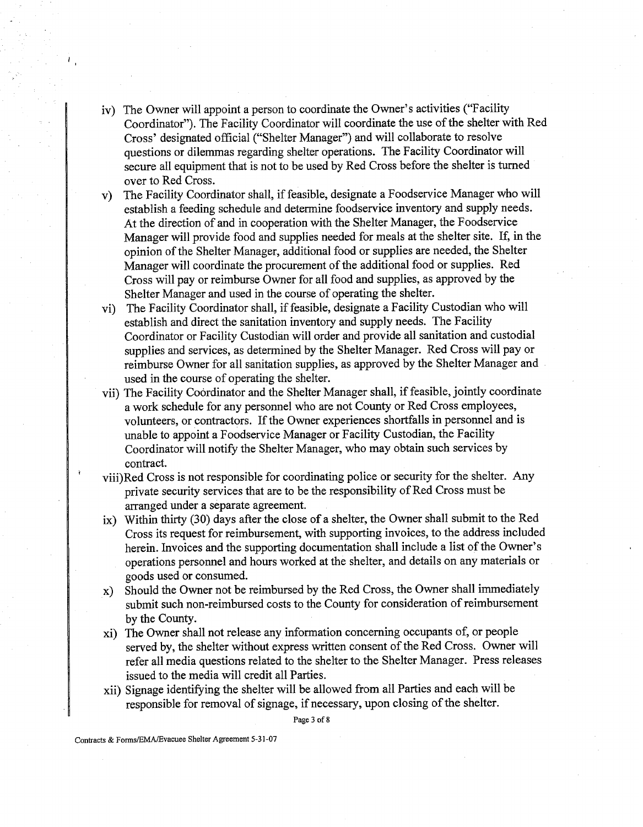- v) The Owner will appoint a person to coordinate the Owner's activities ("Facility Coordinator"). The Facility Coordinator will coordinate the use of the shelter with Red Cross' designated official ("Shelter Manager") and will collaborate to resolve questions or dilemmas regarding shelter operations. The Facility Coordinator will secure all equipment that is not to be used by Red Cross before the shelter is turned over to Red Cross.
- v) The Facility Coordinator shall, if feasible, designate a Foodservice Manager who will establish a feeding schedule and determine foodservice inventory and supply needs. At the direction of and in cooperation with the Shelter Manager, the Foodservice Manager will provide food and supplies needed for meals at the shelter site. If, in the opinion of the Shelter Manager, additional food or supplies are needed, the Shelter Manager will coordinate the procurement of the additional food or supplies. Red Cross will pay or reimburse Owner for a11 food and supplies, as approved by the Shelter Manager and used in the course of operating the shelter.
- vi) The Facility Coordinator shall, if feasible, designate a Facility Custodian who will establish and direct the sanitation inventory and supply needs. The Facility Coordinator or Facility Custodian will order and provide all sanitation and custodial supplies and services, as determined by the Shelter Manager. Red Cross will pay or reimburse Owner for all sanitation supplies, as approved by the Shelter Manager and used in the course of operating the shelter.
- vii) The Facility Coordinator and the Shelter Manager shall, if feasible, jointly coordinate a work schedule for any personnel who are not County or Red Cross employees, volunteers, or contractors. If the Owner experiences shortfalls in personnel and is unable to appoint a Foodservice Manager or Facility Custodian, the Facility Coordinator will notify the Shelter Manager, who may obtain such services by contract.
- viii)Red Cross is not responsible for coordinating police or security for the shelter. Any private security services that are to be the responsibility of Red Cross must be arranged under a separate agreement.
- ix) Within thirty (30) days after the close of a shelter, the Owner shall submit to the Red Cross its request for reimbursement, with supporting invoices, to the address included herein. Invoices and the supporting documentation shall include a list of the Owner's operations personnel and hours worked at the shelter, and details on any materials or goods used or consumed.
- x) Should the Owner not be reimbursed by the Red Cross, the Owner shall immediately submit such non-reimbursed costs to the County for consideration of reimbursement by the County.
- xi) The Owner shall not release any information concerning occupants of, or people served by, the shelter without express written consent of the Red Cross. Owner will refer all media questions related to the shelter to the Shelter Manager. Press releases issued to the media will credit all Parties.
- xii) Signage identifying the shelter will be allowed from all Parties and each will be responsible for removal of signage, if necessary, upon closing of the shelter.

Page **3** of **8** 

**Contracts** & **FormsEMAlEvacuee** Shelter Agreement 5-3 1-07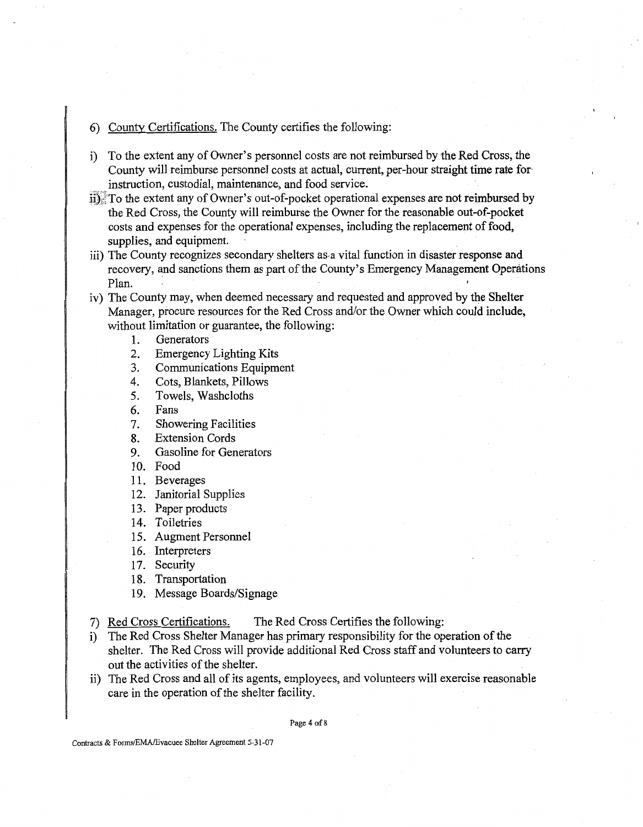# 6) County Certifications. The County certifies the following:

- i) To the extent any of Owner's personnel costs are not reimbursed by the Red Cross, the County will reimburse personnel costs at actual, current, per-hour straight time rate for instruction, custodial, maintenance, and food service.
- ii) :TO the extent any of Owner's out-of-pocket operational expenses are not reimbursed by the Red Cross, the County will reimburse the Owner for the reasonable out-of-pocket costs and expenses for the operational expenses, including the replacement of food, supplies, and equipment.
- iii) The County recognizes secondary shelters as a vital function in disaster response and recovery, and sanctions them as part of the County's Emergency Management Operations Plan. **<sup>0</sup>**
- iv) The County may, when deemed necessary and requested and approved by the Shelter Manager, procure resources for the Red Cross and/or the Owner which could include, without limitation or guarantee, the following:
	- 1. Generators
	- 2. Emergency Lighting Kits
	- 3. Communications Equipment
	- 4. Cots, Blankets, Pillows
	- 5. Towels, Washcloths
	- 6. Fans
	- 7. Showering Facilities
	- 8. Extension Cords
	- 9. Gasoline for Generators
	- 10. Food
	- 11. Beverages
	- 12. Janitorial Supplies
	- 13. Paper products
	- 14. Toiletries
	- 15. Augment Personnel
	- 16. Interpreters
	- 17. Security
	- 18. Transportation
	- 19. Message Boards/Signage
- 7) Red Cross Certifications. The Red Cross Certifies the following:
- i) The Red Cross Shelter Manager has primary responsibility for the operation of the shelter. The Red Cross will provide additional Red Cross staff and volunteers to carry out the activities of the shelter.
- ii) The Red Cross and all of its agents, employees, and volunteers will exercise reasonable care in the operation of the shelter facility.

Page 4 of 8

Contracts & Forms/EMA/Evacuee Shelter Agreement 5-31-07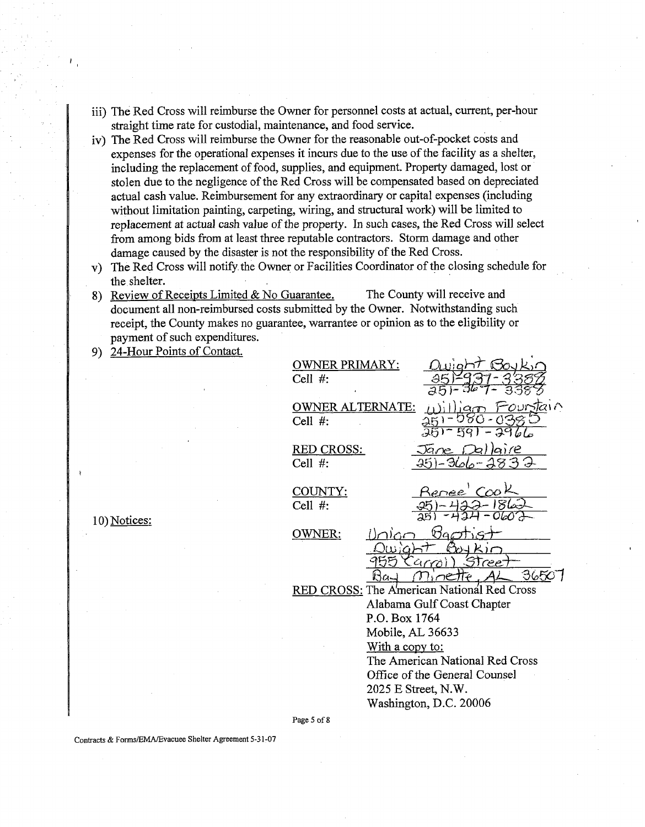- iii) The Red Cross will reimburse the Owner for personnel costs at actual, current, per-hour straight time rate for custodial, maintenance, and food service.
- iv) The Red Cross will reimburse the Owner for the reasonable out-of-pocket costs and expenses for the operational expenses it incurs due to the use of the facility as a shelter, including the replacement of food, supplies, and equipment. Property damaged, lost or stolen due to the negligence of the Red Cross will be compensated based on depreciated actual cash value. Reimbursement for any extraordinary or capital expenses (including without limitation painting, carpeting, wiring, and structural work) will be limited to replacement at actual cash value of the property. In such cases, the Red Cross will select fiom among bids fiom at least three reputable contractors. Storm damage and other damage caused by the disaster is not the responsibility of the Red Cross.
- The Red Cross will notify the Owner or Facilities Coordinator of the closing schedule for the shelter.
- 8) Review of Receipts Limited & No Guarantee. The County will receive and document all non-reimbursed costs submitted by the Owner. Notwithstanding such receipt, the County makes no guarantee, warrantee or opinion as to the eligibility or payment of such expenditures.
- 24-Hour Points of Contact.

| <b>OWNER PRIMARY:</b>                      |
|--------------------------------------------|
| Cell #:                                    |
|                                            |
| <b>OWNER ALTERNATE:</b><br>いへ              |
| Cell $#$ :                                 |
|                                            |
| RED CROSS:<br>nire                         |
| Cell $#$ :                                 |
| Renee' Coo<br>COUNTY:                      |
| Cell $#$ :                                 |
|                                            |
| <u>OWNER:</u><br>، ۱۸                      |
|                                            |
|                                            |
| 36507                                      |
| RED CROSS: The American National Red Cross |
| Alabama Gulf Coast Chapter                 |
| P.O. Box 1764                              |
| Mobile, AL 36633                           |
| <u>With a copy to:</u>                     |
| The American National Red Cross            |
| Office of the General Counsel              |
| 2025 E Street, N.W.                        |
| Washington, D.C. 20006                     |
|                                            |

10) Notices:

Page 5 of 8

Contracts & FonnsIEMA/Evacuee Shelter Agreement 5-3 1-07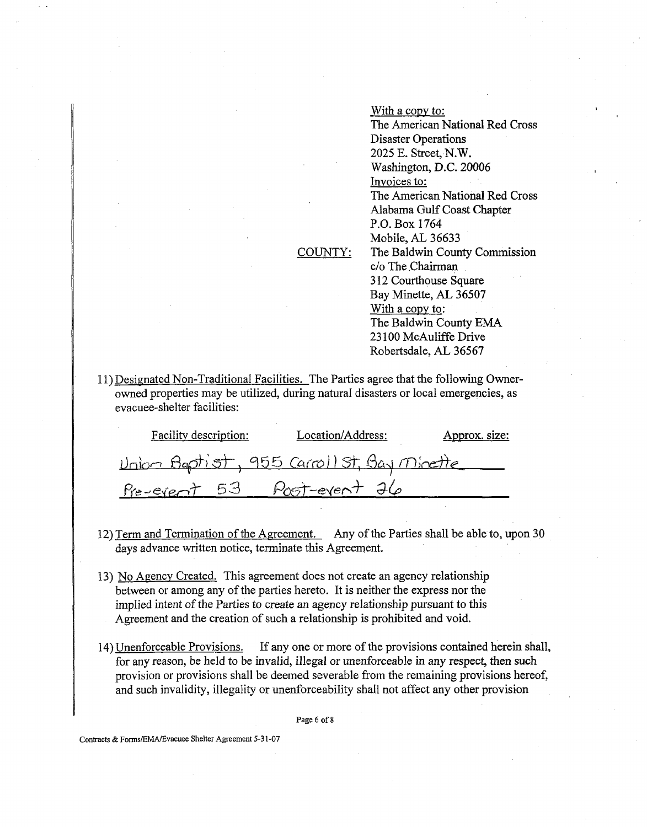COUNTY: With a copy to: The American National Red Cross Disaster Operations 2025 E. Street, N.W. Washington, D.C. 20006 Invoices to: The American National Red Cross Alabama Gulf Coast Chapter P.O. Box 1764 Mobile, **AL** 36633 The Baldwin County Commission c/o The Chairman **3** 12 Courthouse Square Bay Minette, AL 36507 With a copy to: The Baldwin County **EMA**  23 100 McAuliffe Drive Robertsdale, AL 36567

I

11) Designated Non-Traditional Facilities. The Parties agree that the following Ownerowned properties may be utilized, during natural disasters or local emergencies, as evacuee-shelter facilities:

| <b>Facility description:</b> | Location/Address:                          | Approx. size: |
|------------------------------|--------------------------------------------|---------------|
|                              | Union Baptist, 955 Carroll St, Bay Minette |               |
|                              | Pre-event 53 Post-event 26                 |               |

- 12) Term and Termination of the Agreement. Any of the Parties shall be able to, upon 30 days advance written notice, terminate this Agreement.
- 13) No Aaencv Created. This agreement does not create an agency relationship between or among any of the parties hereto. It is neither the express nor the implied intent of the Parties to create an agency relationship pursuant to this Agreement and the creation of such a relationship is prohibited and void.
- 14) Unenforceable Provisions. If any one or more of the provisions contained herein shall, for any reason, be held to be invalid, illegal or unenforceable in any respect, then such provision or provisions shall be deemed severable from the remaining provisions hereof, and such invalidity, illegality or unenforceability shall not affect any other provision

Page 6 of 8

Contracts & Forms/EMA/Evacuee Shelter Agreement 5-31-07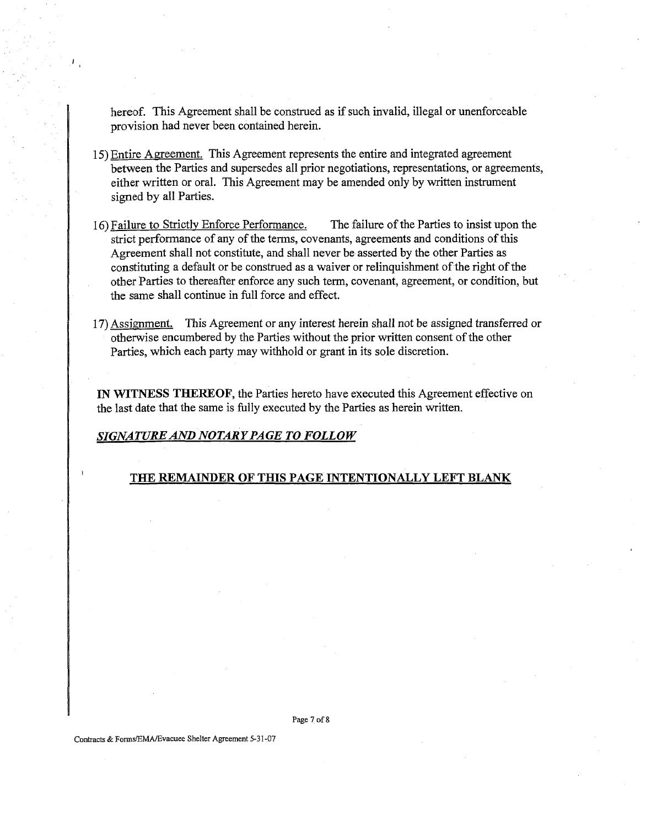hereof. This Agreement shall be construed as if such invalid, illegal or unenforceable provision had never been contained herein.

- 15) Entire Agreement. This Agreement represents the entire and integrated agreement between the Parties and supersedes all prior negotiations, representations, or agreements, either written or oral. This Agreement may be amended only by written instrument signed by all Parties.
- **16)** Failure to Strictly Enforce Performance. The failure of the Parties to insist upon the strict performance of any of the terms, covenants, agreements and conditions of this Agreement shall not constitute, and shall never be asserted by the other Parties as constituting a default or be construed as a waiver or relinquishment of the right of the other Parties to thereafter enforce any such term, covenant, agreement, or condition, but the same shall continue in full force and effect.
- **17)** Assiment. This Agreement or any interest herein shall not be assigned transferred or otherwise encumbered by the Parties without the prior written consent of the other Parties, which each party may withhold or grant in its sole discretion.

**IN WITNESS** THEKEOF, the Parties hereto have executed this Agreement effective on the last date that the same is fully executed by the Parties as herein written.

## *SIGNATURE AND NOTARY PAGE TO FOLLOW*

### THE REMAINDER OF **THIS** PAGE **INTENTIONALLY LEFT BLANK**

**Page 7 of 8** 

**Contracts** & **Forms/EMA/Evacuee Shelter Agreement 5-3 1-07**